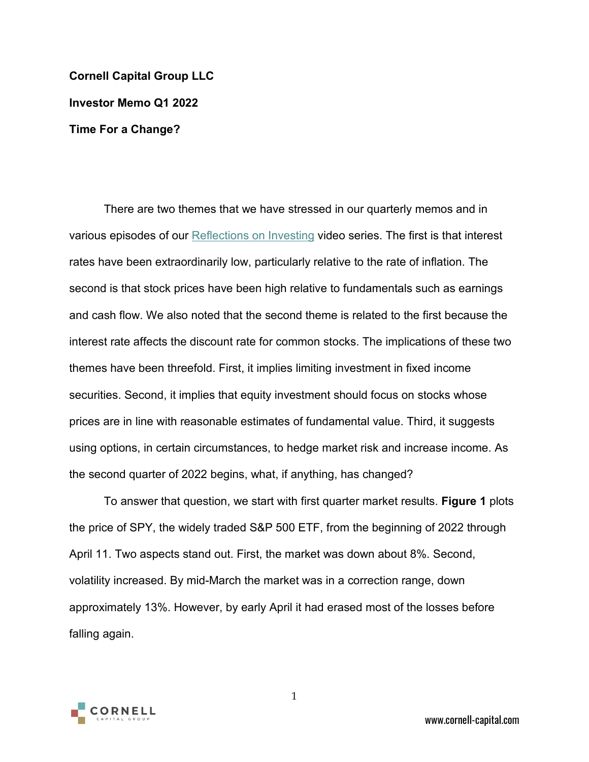**Cornell Capital Group LLC Investor Memo Q1 2022 Time For a Change?**

There are two themes that we have stressed in our quarterly memos and in various episodes of our [Reflections on Investing](https://www.cornell-capital.com/reflections-on-investing-2) video series. The first is that interest rates have been extraordinarily low, particularly relative to the rate of inflation. The second is that stock prices have been high relative to fundamentals such as earnings and cash flow. We also noted that the second theme is related to the first because the interest rate affects the discount rate for common stocks. The implications of these two themes have been threefold. First, it implies limiting investment in fixed income securities. Second, it implies that equity investment should focus on stocks whose prices are in line with reasonable estimates of fundamental value. Third, it suggests using options, in certain circumstances, to hedge market risk and increase income. As the second quarter of 2022 begins, what, if anything, has changed?

To answer that question, we start with first quarter market results. **Figure 1** plots the price of SPY, the widely traded S&P 500 ETF, from the beginning of 2022 through April 11. Two aspects stand out. First, the market was down about 8%. Second, volatility increased. By mid-March the market was in a correction range, down approximately 13%. However, by early April it had erased most of the losses before falling again.



1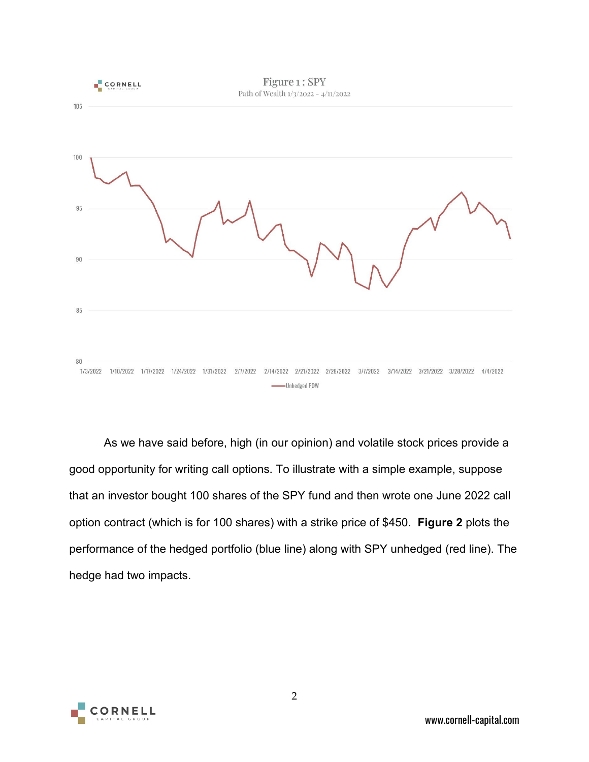

As we have said before, high (in our opinion) and volatile stock prices provide a good opportunity for writing call options. To illustrate with a simple example, suppose that an investor bought 100 shares of the SPY fund and then wrote one June 2022 call option contract (which is for 100 shares) with a strike price of \$450. **Figure 2** plots the performance of the hedged portfolio (blue line) along with SPY unhedged (red line). The hedge had two impacts.

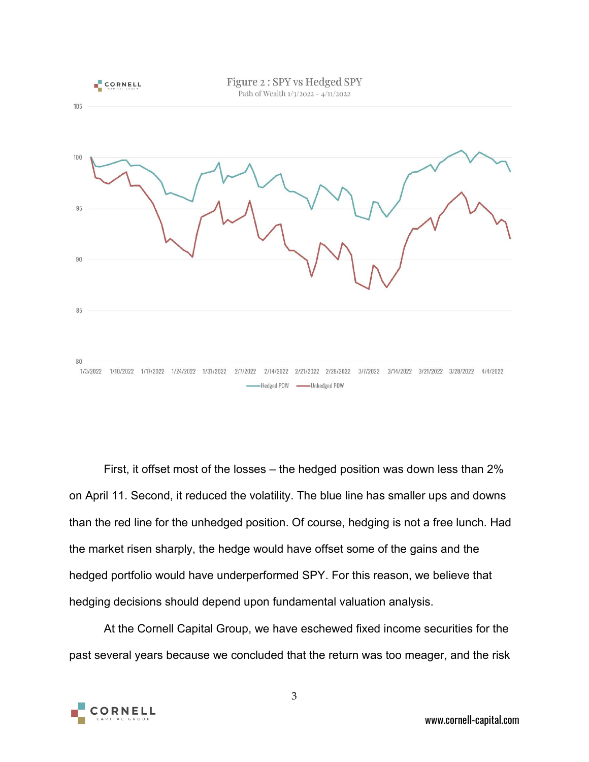

First, it offset most of the losses – the hedged position was down less than 2% on April 11. Second, it reduced the volatility. The blue line has smaller ups and downs than the red line for the unhedged position. Of course, hedging is not a free lunch. Had the market risen sharply, the hedge would have offset some of the gains and the hedged portfolio would have underperformed SPY. For this reason, we believe that hedging decisions should depend upon fundamental valuation analysis.

At the Cornell Capital Group, we have eschewed fixed income securities for the past several years because we concluded that the return was too meager, and the risk

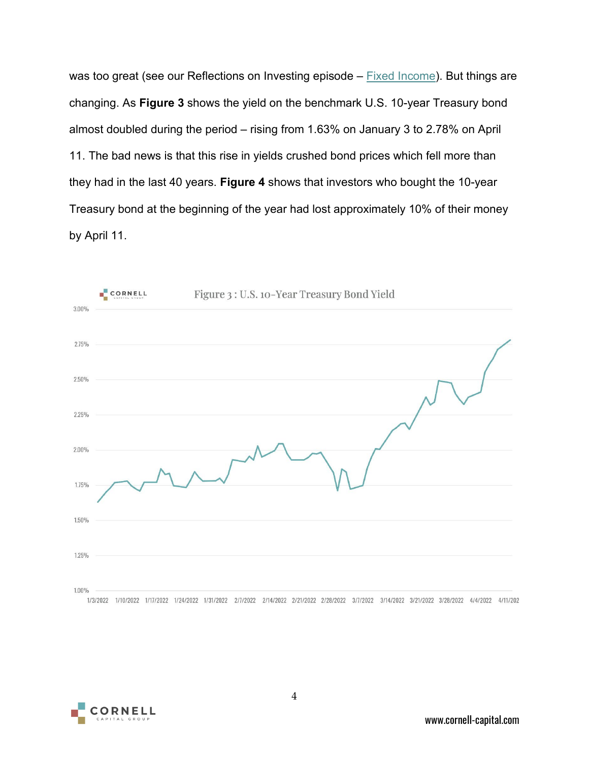was too great (see our Reflections on Investing episode – [Fixed Income\)](https://www.cornell-capital.com/blog/2022/04/28-reflections-on-investing-fixed-income.html). But things are changing. As **Figure 3** shows the yield on the benchmark U.S. 10-year Treasury bond almost doubled during the period – rising from 1.63% on January 3 to 2.78% on April 11. The bad news is that this rise in yields crushed bond prices which fell more than they had in the last 40 years. **Figure 4** shows that investors who bought the 10-year Treasury bond at the beginning of the year had lost approximately 10% of their money by April 11.



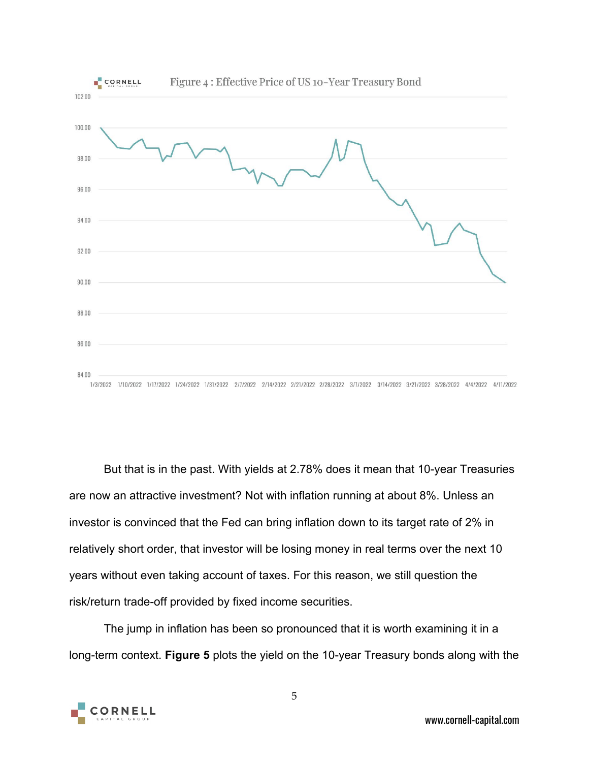

But that is in the past. With yields at 2.78% does it mean that 10-year Treasuries are now an attractive investment? Not with inflation running at about 8%. Unless an investor is convinced that the Fed can bring inflation down to its target rate of 2% in relatively short order, that investor will be losing money in real terms over the next 10 years without even taking account of taxes. For this reason, we still question the risk/return trade-off provided by fixed income securities.

The jump in inflation has been so pronounced that it is worth examining it in a long-term context. **Figure 5** plots the yield on the 10-year Treasury bonds along with the

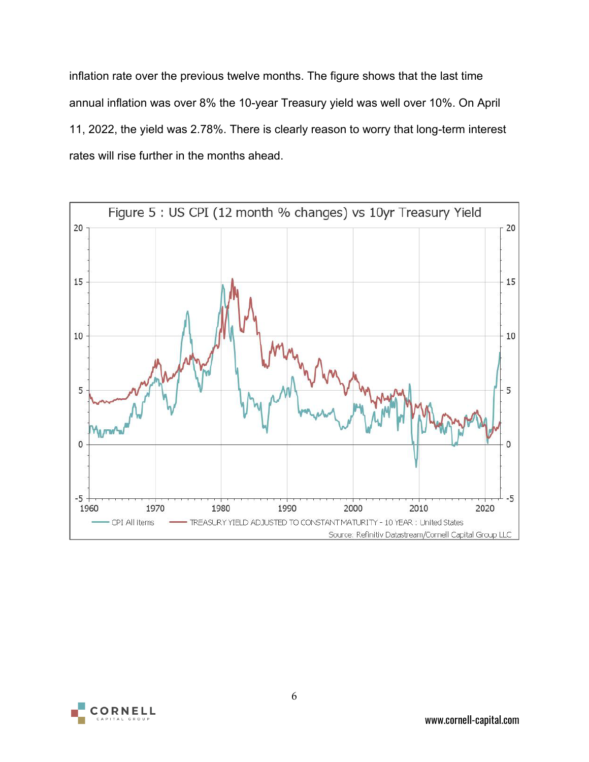inflation rate over the previous twelve months. The figure shows that the last time annual inflation was over 8% the 10-year Treasury yield was well over 10%. On April 11, 2022, the yield was 2.78%. There is clearly reason to worry that long-term interest rates will rise further in the months ahead.